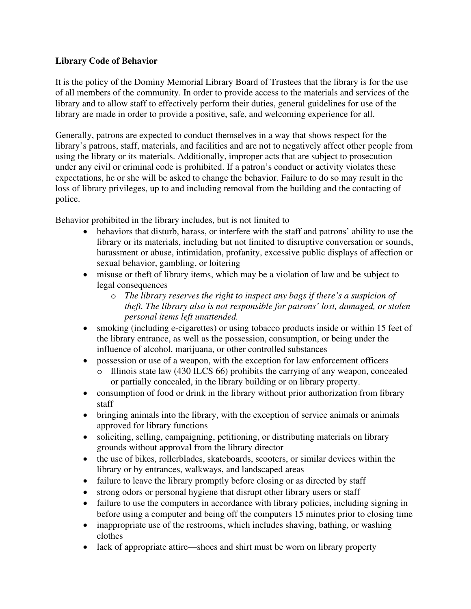## **Library Code of Behavior**

It is the policy of the Dominy Memorial Library Board of Trustees that the library is for the use of all members of the community. In order to provide access to the materials and services of the library and to allow staff to effectively perform their duties, general guidelines for use of the library are made in order to provide a positive, safe, and welcoming experience for all.

Generally, patrons are expected to conduct themselves in a way that shows respect for the library's patrons, staff, materials, and facilities and are not to negatively affect other people from using the library or its materials. Additionally, improper acts that are subject to prosecution under any civil or criminal code is prohibited. If a patron's conduct or activity violates these expectations, he or she will be asked to change the behavior. Failure to do so may result in the loss of library privileges, up to and including removal from the building and the contacting of police.

Behavior prohibited in the library includes, but is not limited to

- behaviors that disturb, harass, or interfere with the staff and patrons' ability to use the library or its materials, including but not limited to disruptive conversation or sounds, harassment or abuse, intimidation, profanity, excessive public displays of affection or sexual behavior, gambling, or loitering
- misuse or theft of library items, which may be a violation of law and be subject to legal consequences
	- o *The library reserves the right to inspect any bags if there's a suspicion of theft. The library also is not responsible for patrons' lost, damaged, or stolen personal items left unattended.*
- smoking (including e-cigarettes) or using tobacco products inside or within 15 feet of the library entrance, as well as the possession, consumption, or being under the influence of alcohol, marijuana, or other controlled substances
- possession or use of a weapon, with the exception for law enforcement officers
	- Illinois state law (430 ILCS 66) prohibits the carrying of any weapon, concealed or partially concealed, in the library building or on library property.
- consumption of food or drink in the library without prior authorization from library staff
- bringing animals into the library, with the exception of service animals or animals approved for library functions
- soliciting, selling, campaigning, petitioning, or distributing materials on library grounds without approval from the library director
- the use of bikes, rollerblades, skateboards, scooters, or similar devices within the library or by entrances, walkways, and landscaped areas
- failure to leave the library promptly before closing or as directed by staff
- strong odors or personal hygiene that disrupt other library users or staff
- failure to use the computers in accordance with library policies, including signing in before using a computer and being off the computers 15 minutes prior to closing time
- inappropriate use of the restrooms, which includes shaving, bathing, or washing clothes
- lack of appropriate attire—shoes and shirt must be worn on library property